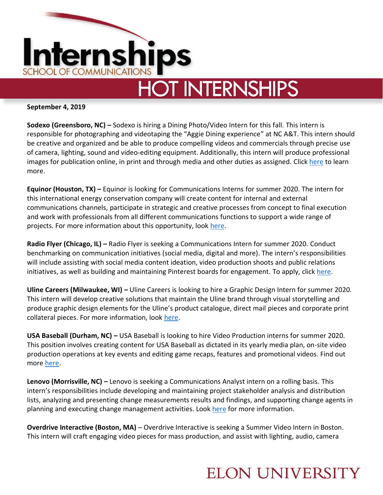

# **HOT INTERNSHIPS**

#### **September 4, 2019**

**Sodexo (Greensboro, NC) –** Sodexo is hiring a Dining Photo/Video Intern for this fall. This intern is responsible for photographing and videotaping the "Aggie Dining experience" at NC A&T. This intern should be creative and organized and be able to produce compelling videos and commercials through precise use of camera, lighting, sound and video-editing equipment. Additionally, this intern will produce professional images for publication online, in print and through media and other duties as assigned. Click [here](https://sodexousa.jobs/greensboro-nc/aggie-dining-photovideo-intern/BBDA01299C9647EFA68C2D3868BAE1BD/job/) to learn more.

**Equinor (Houston, TX) –** Equinor is looking for Communications Interns for summer 2020. The intern for this international energy conservation company will create content for internal and external communications channels, participate in strategic and creative processes from concept to final execution and work with professionals from all different communications functions to support a wide range of projects. For more information about this opportunity, look [here.](https://careers.peopleclick.eu.com/careerscp/client_statoil/external/en-us/gateway.do?functionName=viewFromLink&jobPostId=21022&localeCode=en-us)

**Radio Flyer (Chicago, IL) –** Radio Flyer is seeking a Communications Intern for summer 2020. Conduct benchmarking on communication initiatives (social media, digital and more). The intern's responsibilities will include assisting with social media content ideation, video production shoots and public relations initiatives, as well as building and maintaining Pinterest boards for engagement. To apply, click [here.](https://radioflyer.silkroad.com/epostings/index.cfm?fuseaction=app.dspjob&jobid=206297&company_id=16014&version=1&jobBoardId=3345)

**Uline Careers (Milwaukee, WI) –** Uline Careers is looking to hire a Graphic Design Intern for summer 2020. This intern will develop creative solutions that maintain the Uline brand through visual storytelling and produce graphic design elements for the Uline's product catalogue, direct mail pieces and corporate print collateral pieces. For more information, look [here.](https://www.uline.jobs/JobDetails?jobid=2918BR&culture=en&codes=1-LI)

**USA Baseball (Durham, NC) –** USA Baseball is looking to hire Video Production interns for summer 2020. This position involves creating content for USA Baseball as dictated in its yearly media plan, on-site video production operations at key events and editing game recaps, features and promotional videos. Find out more [here.](https://www.linkedin.com/jobs/view/video-production-intern-at-job-in-durham-1468128190?utm_campaign=google_jobs_apply&utm_source=google_jobs_apply&utm_medium=organic)

**Lenovo (Morrisville, NC) –** Lenovo is seeking a Communications Analyst intern on a rolling basis. This intern's responsibilities include developing and maintaining project stakeholder analysis and distribution lists, analyzing and presenting change measurements results and findings, and supporting change agents in planning and executing change management activities. Look [here](https://lenovoworldwide.rolepoint.com/?shorturl=YJvM8#job/ahBzfnJvbGVwb2ludC1wcm9kchALEgNKb2IYgIDw18qc2AkM) for more information.

**Overdrive Interactive (Boston, MA)** – Overdrive Interactive is seeking a Summer Video Intern in Boston. This intern will craft engaging video pieces for mass production, and assist with lighting, audio, camera

### **ELON UNIVERSITY**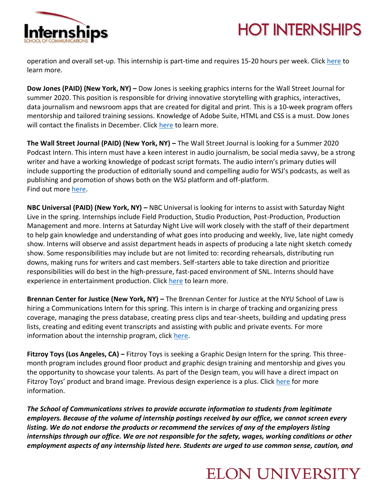

## **HOT INTERNSHIPS**

operation and overall set-up. This internship is part-time and requires 15-20 hours per week. Clic[k here](https://www.ovrdrv.com/career/summer-video-internship/) to learn more.

**Dow Jones (PAID) (New York, NY) –** Dow Jones is seeking graphics interns for the Wall Street Journal for summer 2020. This position is responsible for driving innovative storytelling with graphics, interactives, data journalism and newsroom apps that are created for digital and print. This is a 10-week program offers mentorship and tailored training sessions. Knowledge of Adobe Suite, HTML and CSS is a must. Dow Jones will contact the finalists in December. Click [here](https://dowjones-internships.jobs/new-york-ny/summer-2020-graphics-internship-at-the-wall-street-journal/DA4ABE6BD7B64ADBB400C63A8B24D466/job/) to learn more.

**The Wall Street Journal (PAID) (New York, NY) –** The Wall Street Journal is looking for a Summer 2020 Podcast Intern. This intern must have a keen interest in audio journalism, be social media savvy, be a strong writer and have a working knowledge of podcast script formats. The audio intern's primary duties will include supporting the production of editorially sound and compelling audio for WSJ's podcasts, as well as publishing and promotion of shows both on the WSJ platform and off-platform. Find out more [here.](https://wsj.jobs/new-york-ny/summer-2020-podcast-internship-at-the-wall-street-journal/BAE1F58BB10743E9B069D23C48133EB7/job/)

**NBC Universal (PAID) (New York, NY) –** NBC Universal is looking for interns to assist with Saturday Night Live in the spring. Internships include Field Production, Studio Production, Post-Production, Production Management and more. Interns at Saturday Night Live will work closely with the staff of their department to help gain knowledge and understanding of what goes into producing and weekly, live, late night comedy show. Interns will observe and assist department heads in aspects of producing a late night sketch comedy show. Some responsibilities may include but are not limited to: recording rehearsals, distributing run downs, making runs for writers and cast members. Self-starters able to take direction and prioritize responsibilities will do best in the high-pressure, fast-paced environment of SNL. Interns should have experience in entertainment production. Click [here](https://www.nbcunicareers.com/node/11365) to learn more.

**Brennan Center for Justice (New York, NY) –** The Brennan Center for Justice at the NYU School of Law is hiring a Communications Intern for this spring. This intern is in charge of tracking and organizing press coverage, managing the press database, creating press clips and tear-sheets, building and updating press lists, creating and editing event transcripts and assisting with public and private events. For more information about the internship program, click [here.](https://brennancenter.applytojob.com/apply/N961wJtS6w/Spring-2020-Undergraduate-Internship-In-NY?utm_campaign=google_jobs_apply&utm_source=google_jobs_apply&utm_medium=organic)

**Fitzroy Toys (Los Angeles, CA) –** Fitzroy Toys is seeking a Graphic Design Intern for the spring. This threemonth program includes ground floor product and graphic design training and mentorship and gives you the opportunity to showcase your talents. As part of the Design team, you will have a direct impact on Fitzroy Toys' product and brand image. Previous design experience is a plus. Click [here](https://angel.co/company/fitzroy-toys/jobs/43417-graphic-design-spring-intern) for more information.

*The School of Communications strives to provide accurate information to students from legitimate employers. Because of the volume of internship postings received by our office, we cannot screen every listing. We do not endorse the products or recommend the services of any of the employers listing internships through our office. We are not responsible for the safety, wages, working conditions or other employment aspects of any internship listed here. Students are urged to use common sense, caution, and* 

### **ELON UNIVERSITY**